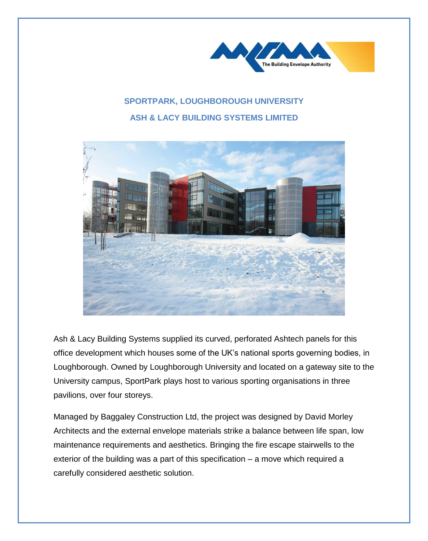

## **SPORTPARK, LOUGHBOROUGH UNIVERSITY ASH & LACY BUILDING SYSTEMS LIMITED**



Ash & Lacy Building Systems supplied its curved, perforated Ashtech panels for this office development which houses some of the UK's national sports governing bodies, in Loughborough. Owned by Loughborough University and located on a gateway site to the University campus, SportPark plays host to various sporting organisations in three pavilions, over four storeys.

Managed by Baggaley Construction Ltd, the project was designed by David Morley Architects and the external envelope materials strike a balance between life span, low maintenance requirements and aesthetics. Bringing the fire escape stairwells to the exterior of the building was a part of this specification – a move which required a carefully considered aesthetic solution.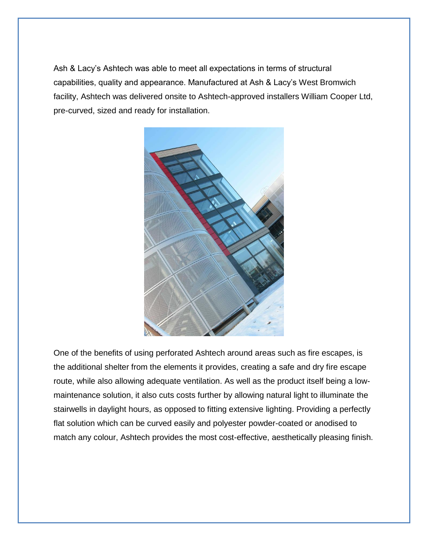Ash & Lacy's Ashtech was able to meet all expectations in terms of structural capabilities, quality and appearance. Manufactured at Ash & Lacy's West Bromwich facility, Ashtech was delivered onsite to Ashtech-approved installers William Cooper Ltd, pre-curved, sized and ready for installation.



One of the benefits of using perforated Ashtech around areas such as fire escapes, is the additional shelter from the elements it provides, creating a safe and dry fire escape route, while also allowing adequate ventilation. As well as the product itself being a lowmaintenance solution, it also cuts costs further by allowing natural light to illuminate the stairwells in daylight hours, as opposed to fitting extensive lighting. Providing a perfectly flat solution which can be curved easily and polyester powder-coated or anodised to match any colour, Ashtech provides the most cost-effective, aesthetically pleasing finish.